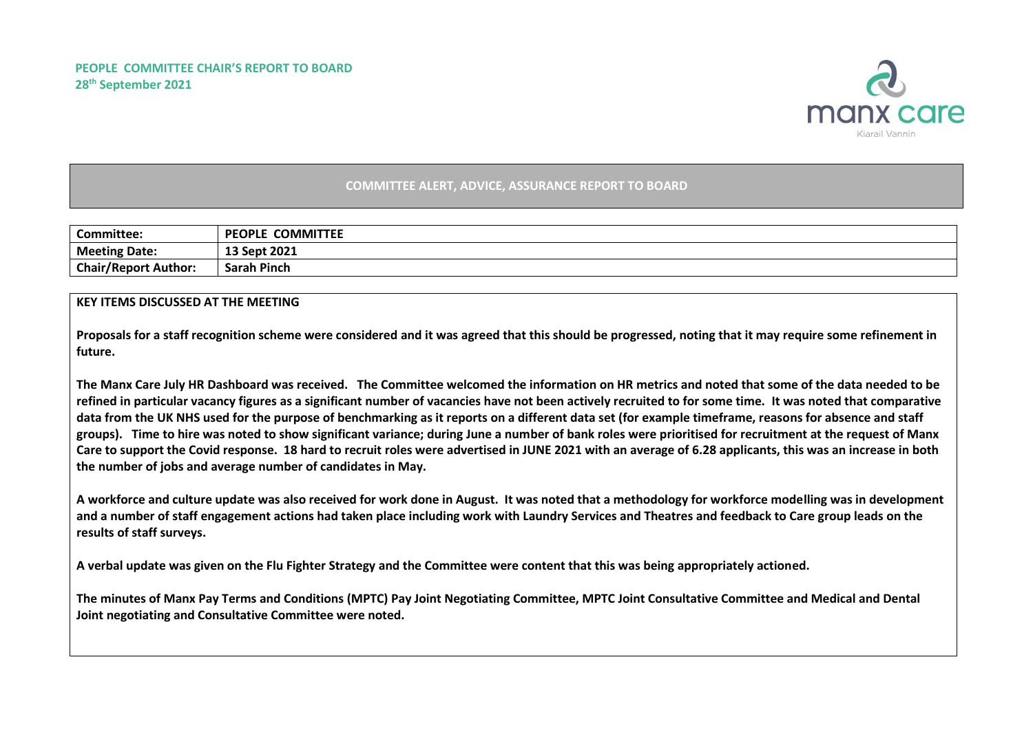

## **COMMITTEE ALERT, ADVICE, ASSURANCE REPORT TO BOARD**

| <b>Committee:</b>           | <b>COMMITTEE</b><br><b>PEOPLE</b> |
|-----------------------------|-----------------------------------|
| <b>Meeting Date:</b>        | 13 Sept 2021                      |
| <b>Chair/Report Author:</b> | <b>Sarah Pinch</b>                |

## **KEY ITEMS DISCUSSED AT THE MEETING**

**Proposals for a staff recognition scheme were considered and it was agreed that this should be progressed, noting that it may require some refinement in future.**

**The Manx Care July HR Dashboard was received. The Committee welcomed the information on HR metrics and noted that some of the data needed to be refined in particular vacancy figures as a significant number of vacancies have not been actively recruited to for some time. It was noted that comparative data from the UK NHS used for the purpose of benchmarking as it reports on a different data set (for example timeframe, reasons for absence and staff groups). Time to hire was noted to show significant variance; during June a number of bank roles were prioritised for recruitment at the request of Manx Care to support the Covid response. 18 hard to recruit roles were advertised in JUNE 2021 with an average of 6.28 applicants, this was an increase in both the number of jobs and average number of candidates in May.**

**A workforce and culture update was also received for work done in August. It was noted that a methodology for workforce modelling was in development and a number of staff engagement actions had taken place including work with Laundry Services and Theatres and feedback to Care group leads on the results of staff surveys.** 

**A verbal update was given on the Flu Fighter Strategy and the Committee were content that this was being appropriately actioned.**

**The minutes of Manx Pay Terms and Conditions (MPTC) Pay Joint Negotiating Committee, MPTC Joint Consultative Committee and Medical and Dental Joint negotiating and Consultative Committee were noted.**